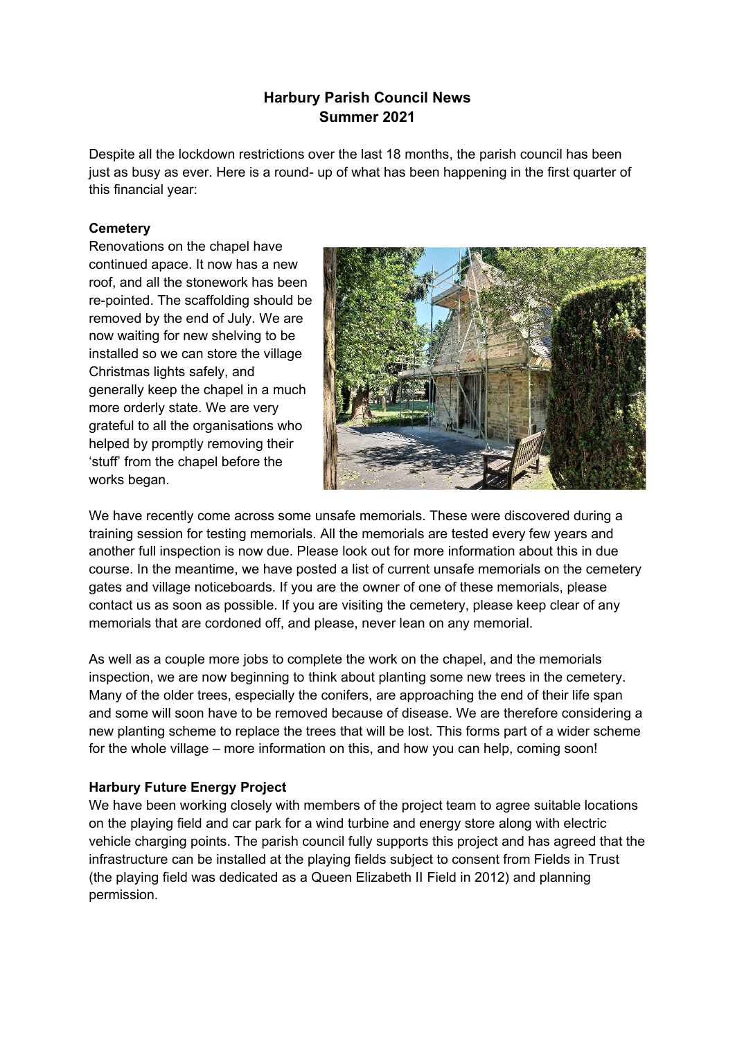# **Harbury Parish Council News Summer 2021**

Despite all the lockdown restrictions over the last 18 months, the parish council has been just as busy as ever. Here is a round- up of what has been happening in the first quarter of this financial year:

### **Cemetery**

Renovations on the chapel have continued apace. It now has a new roof, and all the stonework has been re-pointed. The scaffolding should be removed by the end of July. We are now waiting for new shelving to be installed so we can store the village Christmas lights safely, and generally keep the chapel in a much more orderly state. We are very grateful to all the organisations who helped by promptly removing their 'stuff' from the chapel before the works began.



We have recently come across some unsafe memorials. These were discovered during a training session for testing memorials. All the memorials are tested every few years and another full inspection is now due. Please look out for more information about this in due course. In the meantime, we have posted a list of current unsafe memorials on the cemetery gates and village noticeboards. If you are the owner of one of these memorials, please contact us as soon as possible. If you are visiting the cemetery, please keep clear of any memorials that are cordoned off, and please, never lean on any memorial.

As well as a couple more jobs to complete the work on the chapel, and the memorials inspection, we are now beginning to think about planting some new trees in the cemetery. Many of the older trees, especially the conifers, are approaching the end of their life span and some will soon have to be removed because of disease. We are therefore considering a new planting scheme to replace the trees that will be lost. This forms part of a wider scheme for the whole village – more information on this, and how you can help, coming soon!

# **Harbury Future Energy Project**

We have been working closely with members of the project team to agree suitable locations on the playing field and car park for a wind turbine and energy store along with electric vehicle charging points. The parish council fully supports this project and has agreed that the infrastructure can be installed at the playing fields subject to consent from Fields in Trust (the playing field was dedicated as a Queen Elizabeth II Field in 2012) and planning permission.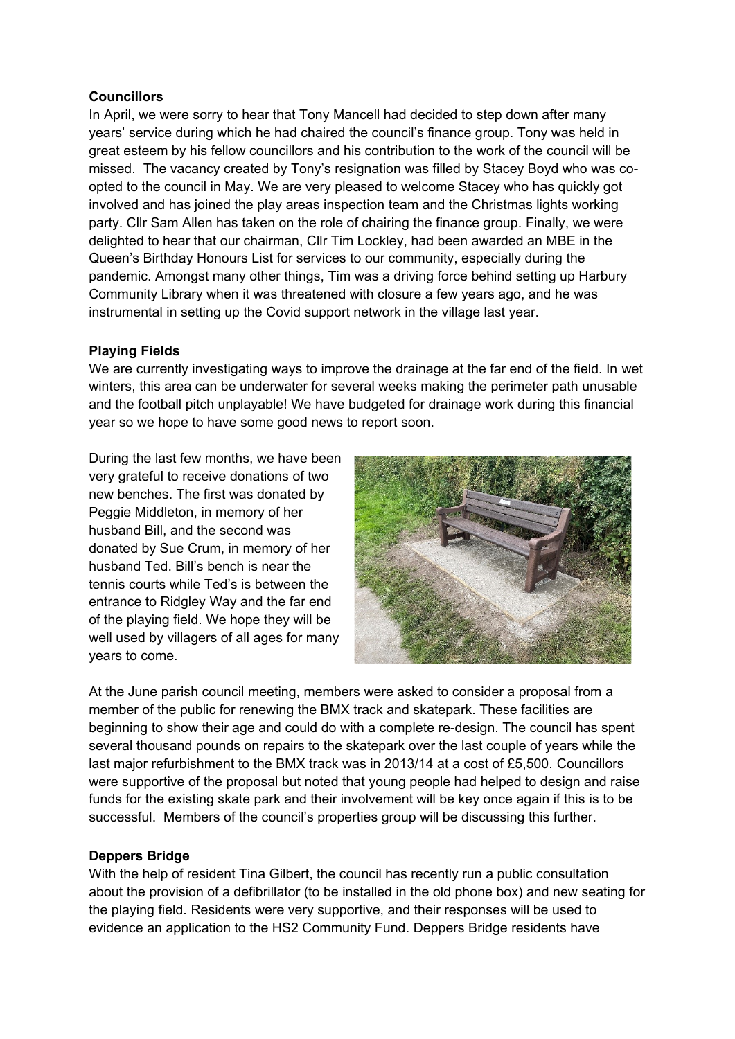### **Councillors**

In April, we were sorry to hear that Tony Mancell had decided to step down after many years' service during which he had chaired the council's finance group. Tony was held in great esteem by his fellow councillors and his contribution to the work of the council will be missed. The vacancy created by Tony's resignation was filled by Stacey Boyd who was coopted to the council in May. We are very pleased to welcome Stacey who has quickly got involved and has joined the play areas inspection team and the Christmas lights working party. Cllr Sam Allen has taken on the role of chairing the finance group. Finally, we were delighted to hear that our chairman, Cllr Tim Lockley, had been awarded an MBE in the Queen's Birthday Honours List for services to our community, especially during the pandemic. Amongst many other things, Tim was a driving force behind setting up Harbury Community Library when it was threatened with closure a few years ago, and he was instrumental in setting up the Covid support network in the village last year.

# **Playing Fields**

We are currently investigating ways to improve the drainage at the far end of the field. In wet winters, this area can be underwater for several weeks making the perimeter path unusable and the football pitch unplayable! We have budgeted for drainage work during this financial year so we hope to have some good news to report soon.

During the last few months, we have been very grateful to receive donations of two new benches. The first was donated by Peggie Middleton, in memory of her husband Bill, and the second was donated by Sue Crum, in memory of her husband Ted. Bill's bench is near the tennis courts while Ted's is between the entrance to Ridgley Way and the far end of the playing field. We hope they will be well used by villagers of all ages for many years to come.



At the June parish council meeting, members were asked to consider a proposal from a member of the public for renewing the BMX track and skatepark. These facilities are beginning to show their age and could do with a complete re-design. The council has spent several thousand pounds on repairs to the skatepark over the last couple of years while the last major refurbishment to the BMX track was in 2013/14 at a cost of £5,500. Councillors were supportive of the proposal but noted that young people had helped to design and raise funds for the existing skate park and their involvement will be key once again if this is to be successful. Members of the council's properties group will be discussing this further.

# **Deppers Bridge**

With the help of resident Tina Gilbert, the council has recently run a public consultation about the provision of a defibrillator (to be installed in the old phone box) and new seating for the playing field. Residents were very supportive, and their responses will be used to evidence an application to the HS2 Community Fund. Deppers Bridge residents have